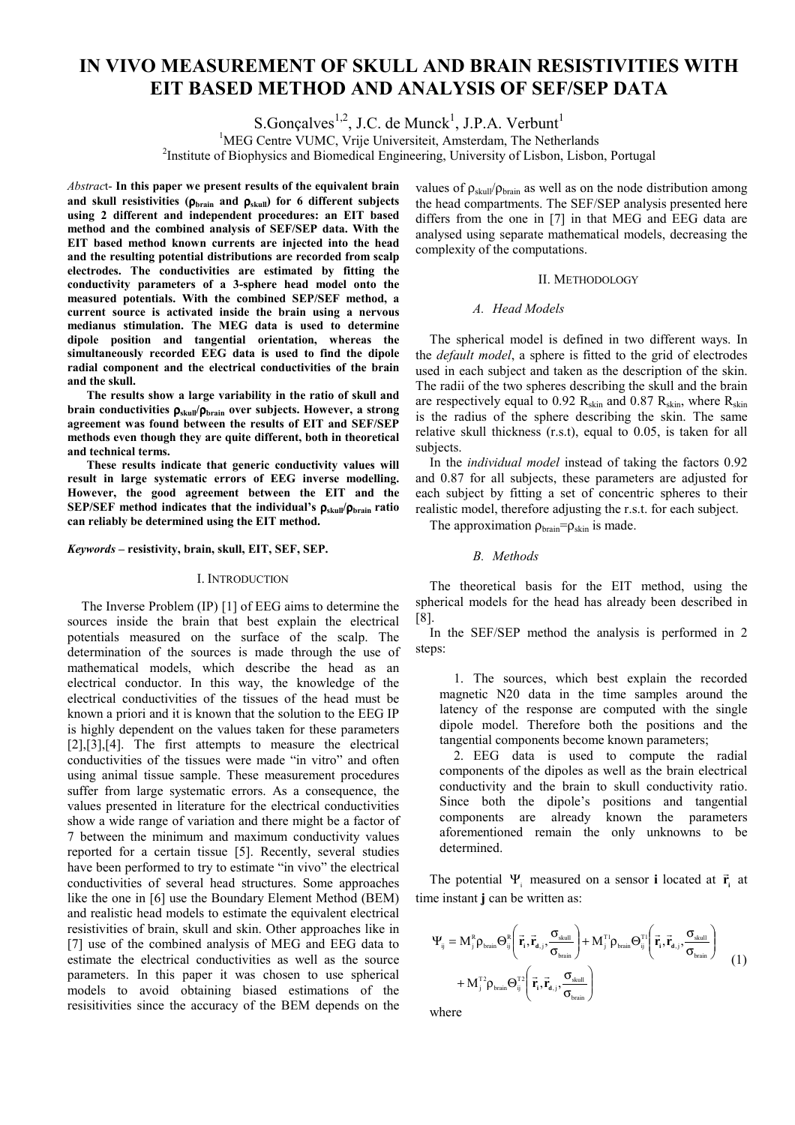# **IN VIVO MEASUREMENT OF SKULL AND BRAIN RESISTIVITIES WITH EIT BASED METHOD AND ANALYSIS OF SEF/SEP DATA**

S.Gonçalves<sup>1,2</sup>, J.C. de Munck<sup>1</sup>, J.P.A. Verbunt<sup>1</sup>

<sup>1</sup>MEG Centre VUMC, Vrije Universiteit, Amsterdam, The Netherlands<br><sup>2</sup>Institute of Biophysics and Biomedical Engineering, University of Lisbon, Lisbon

<sup>2</sup>Institute of Biophysics and Biomedical Engineering, University of Lisbon, Lisbon, Portugal

*Abstrac*t- **In this paper we present results of the equivalent brain**  and skull resistivities  $(\rho_{\text{brain}}$  and  $\rho_{\text{skull}})$  for 6 different subjects **using 2 different and independent procedures: an EIT based method and the combined analysis of SEF/SEP data. With the EIT based method known currents are injected into the head and the resulting potential distributions are recorded from scalp electrodes. The conductivities are estimated by fitting the conductivity parameters of a 3-sphere head model onto the measured potentials. With the combined SEP/SEF method, a current source is activated inside the brain using a nervous medianus stimulation. The MEG data is used to determine dipole position and tangential orientation, whereas the simultaneously recorded EEG data is used to find the dipole radial component and the electrical conductivities of the brain and the skull.** 

 **The results show a large variability in the ratio of skull and brain conductivities** ρ**skull/**ρ**brain over subjects. However, a strong agreement was found between the results of EIT and SEF/SEP methods even though they are quite different, both in theoretical and technical terms.** 

 **These results indicate that generic conductivity values will result in large systematic errors of EEG inverse modelling. However, the good agreement between the EIT and the SEP/SEF method indicates that the individual's** ρ**skull/**ρ**brain ratio can reliably be determined using the EIT method.** 

# *Keywords –* **resistivity, brain, skull, EIT, SEF, SEP.**

# I. INTRODUCTION

The Inverse Problem (IP) [1] of EEG aims to determine the sources inside the brain that best explain the electrical potentials measured on the surface of the scalp. The determination of the sources is made through the use of mathematical models, which describe the head as an electrical conductor. In this way, the knowledge of the electrical conductivities of the tissues of the head must be known a priori and it is known that the solution to the EEG IP is highly dependent on the values taken for these parameters  $[2]$ , $[3]$ , $[4]$ . The first attempts to measure the electrical conductivities of the tissues were made "in vitro" and often using animal tissue sample. These measurement procedures suffer from large systematic errors. As a consequence, the values presented in literature for the electrical conductivities show a wide range of variation and there might be a factor of 7 between the minimum and maximum conductivity values reported for a certain tissue [5]. Recently, several studies have been performed to try to estimate "in vivo" the electrical conductivities of several head structures. Some approaches like the one in [6] use the Boundary Element Method (BEM) and realistic head models to estimate the equivalent electrical resistivities of brain, skull and skin. Other approaches like in [7] use of the combined analysis of MEG and EEG data to estimate the electrical conductivities as well as the source parameters. In this paper it was chosen to use spherical models to avoid obtaining biased estimations of the resisitivities since the accuracy of the BEM depends on the

values of  $\rho_{\text{skull}}/ \rho_{\text{brain}}$  as well as on the node distribution among the head compartments. The SEF/SEP analysis presented here differs from the one in [7] in that MEG and EEG data are analysed using separate mathematical models, decreasing the complexity of the computations.

#### II. METHODOLOGY

## *A. Head Models*

The spherical model is defined in two different ways. In the *default model*, a sphere is fitted to the grid of electrodes used in each subject and taken as the description of the skin. The radii of the two spheres describing the skull and the brain are respectively equal to 0.92  $R_{\text{skin}}$  and 0.87  $R_{\text{skin}}$ , where  $R_{\text{skin}}$ is the radius of the sphere describing the skin. The same relative skull thickness (r.s.t), equal to 0.05, is taken for all subjects.

In the *individual model* instead of taking the factors 0.92 and 0.87 for all subjects, these parameters are adjusted for each subject by fitting a set of concentric spheres to their realistic model, therefore adjusting the r.s.t. for each subject.

The approximation  $\rho_{brain} = \rho_{skin}$  is made.

# *B. Methods*

The theoretical basis for the EIT method, using the spherical models for the head has already been described in [8].

In the SEF/SEP method the analysis is performed in 2 steps:

1. The sources, which best explain the recorded magnetic N20 data in the time samples around the latency of the response are computed with the single dipole model. Therefore both the positions and the tangential components become known parameters;

2. EEG data is used to compute the radial components of the dipoles as well as the brain electrical conductivity and the brain to skull conductivity ratio. Since both the dipole's positions and tangential components are already known the parameters aforementioned remain the only unknowns to be determined.

The potential  $\Psi_i$  measured on a sensor **i** located at  $\vec{r}_i$  at time instant **j** can be written as:

$$
\begin{split} \Psi_{ij} &= M_j^R \rho_{\text{brain}} \Theta_{ij}^R \bigg( \vec{r}_i, \vec{r}_{d,j}, \!\frac{\sigma_{\text{skill}}}{\sigma_{\text{brain}}} \bigg) + M_j^{T1} \rho_{\text{brain}} \Theta_{ij}^{T1} \bigg( \vec{r}_i, \vec{r}_{d,j}, \!\frac{\sigma_{\text{skill}}}{\sigma_{\text{brain}}} \bigg) \\ &+ M_j^{T2} \rho_{\text{train}} \Theta_{ij}^{T2} \bigg( \vec{r}_i, \vec{r}_{d,j}, \!\frac{\sigma_{\text{skill}}}{\sigma_{\text{brain}}} \bigg) \end{split} \tag{1}
$$

where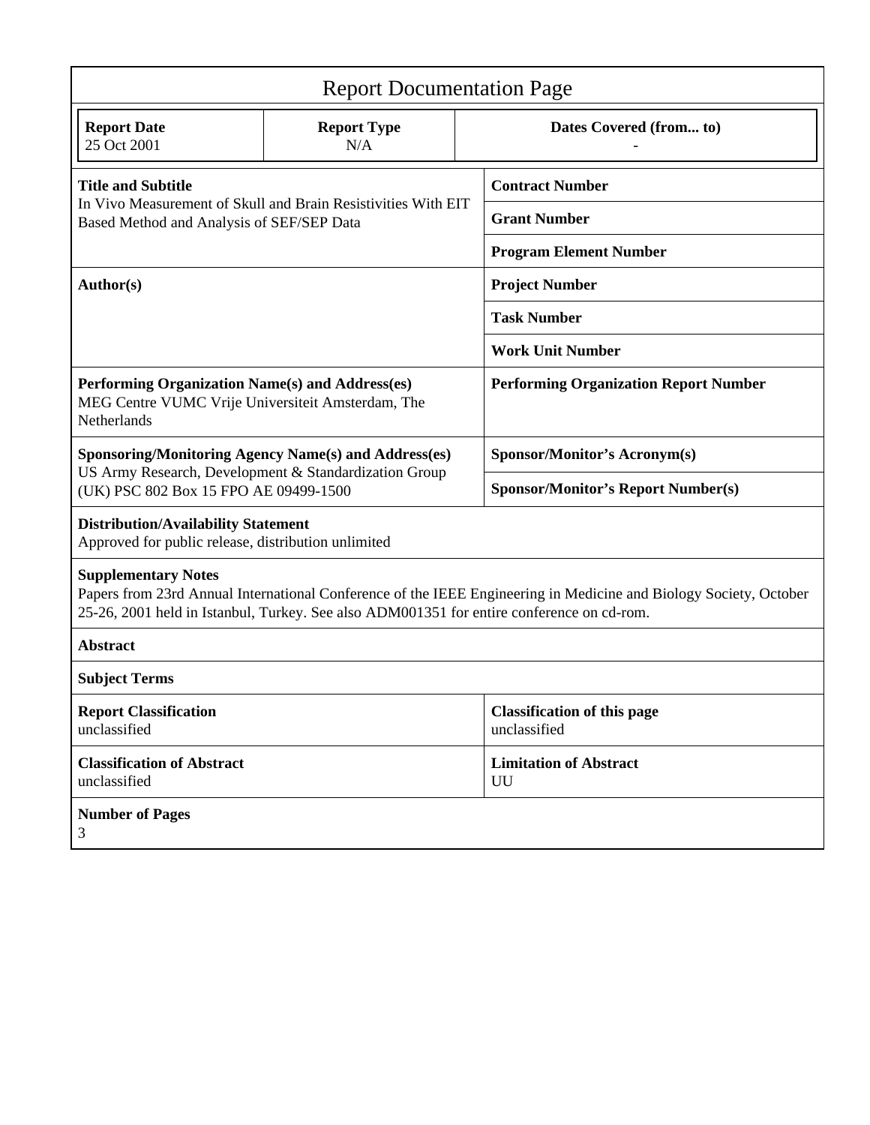| <b>Report Documentation Page</b>                                                                                                                                                                                                             |                           |                         |                                                    |  |  |
|----------------------------------------------------------------------------------------------------------------------------------------------------------------------------------------------------------------------------------------------|---------------------------|-------------------------|----------------------------------------------------|--|--|
| <b>Report Date</b><br>25 Oct 2001                                                                                                                                                                                                            | <b>Report Type</b><br>N/A | Dates Covered (from to) |                                                    |  |  |
| <b>Title and Subtitle</b><br>In Vivo Measurement of Skull and Brain Resistivities With EIT<br>Based Method and Analysis of SEF/SEP Data                                                                                                      |                           |                         | <b>Contract Number</b>                             |  |  |
|                                                                                                                                                                                                                                              |                           |                         | <b>Grant Number</b>                                |  |  |
|                                                                                                                                                                                                                                              |                           |                         | <b>Program Element Number</b>                      |  |  |
| Author(s)                                                                                                                                                                                                                                    |                           |                         | <b>Project Number</b>                              |  |  |
|                                                                                                                                                                                                                                              |                           |                         | <b>Task Number</b>                                 |  |  |
|                                                                                                                                                                                                                                              |                           |                         | <b>Work Unit Number</b>                            |  |  |
| Performing Organization Name(s) and Address(es)<br>MEG Centre VUMC Vrije Universiteit Amsterdam, The<br>Netherlands                                                                                                                          |                           |                         | <b>Performing Organization Report Number</b>       |  |  |
| <b>Sponsoring/Monitoring Agency Name(s) and Address(es)</b><br>US Army Research, Development & Standardization Group<br>(UK) PSC 802 Box 15 FPO AE 09499-1500                                                                                |                           |                         | <b>Sponsor/Monitor's Acronym(s)</b>                |  |  |
|                                                                                                                                                                                                                                              |                           |                         | <b>Sponsor/Monitor's Report Number(s)</b>          |  |  |
| <b>Distribution/Availability Statement</b><br>Approved for public release, distribution unlimited                                                                                                                                            |                           |                         |                                                    |  |  |
| <b>Supplementary Notes</b><br>Papers from 23rd Annual International Conference of the IEEE Engineering in Medicine and Biology Society, October<br>25-26, 2001 held in Istanbul, Turkey. See also ADM001351 for entire conference on cd-rom. |                           |                         |                                                    |  |  |
| <b>Abstract</b>                                                                                                                                                                                                                              |                           |                         |                                                    |  |  |
| <b>Subject Terms</b>                                                                                                                                                                                                                         |                           |                         |                                                    |  |  |
| <b>Report Classification</b><br>unclassified                                                                                                                                                                                                 |                           |                         | <b>Classification of this page</b><br>unclassified |  |  |
| <b>Classification of Abstract</b><br>unclassified                                                                                                                                                                                            |                           |                         | <b>Limitation of Abstract</b><br>UU                |  |  |
| <b>Number of Pages</b><br>3                                                                                                                                                                                                                  |                           |                         |                                                    |  |  |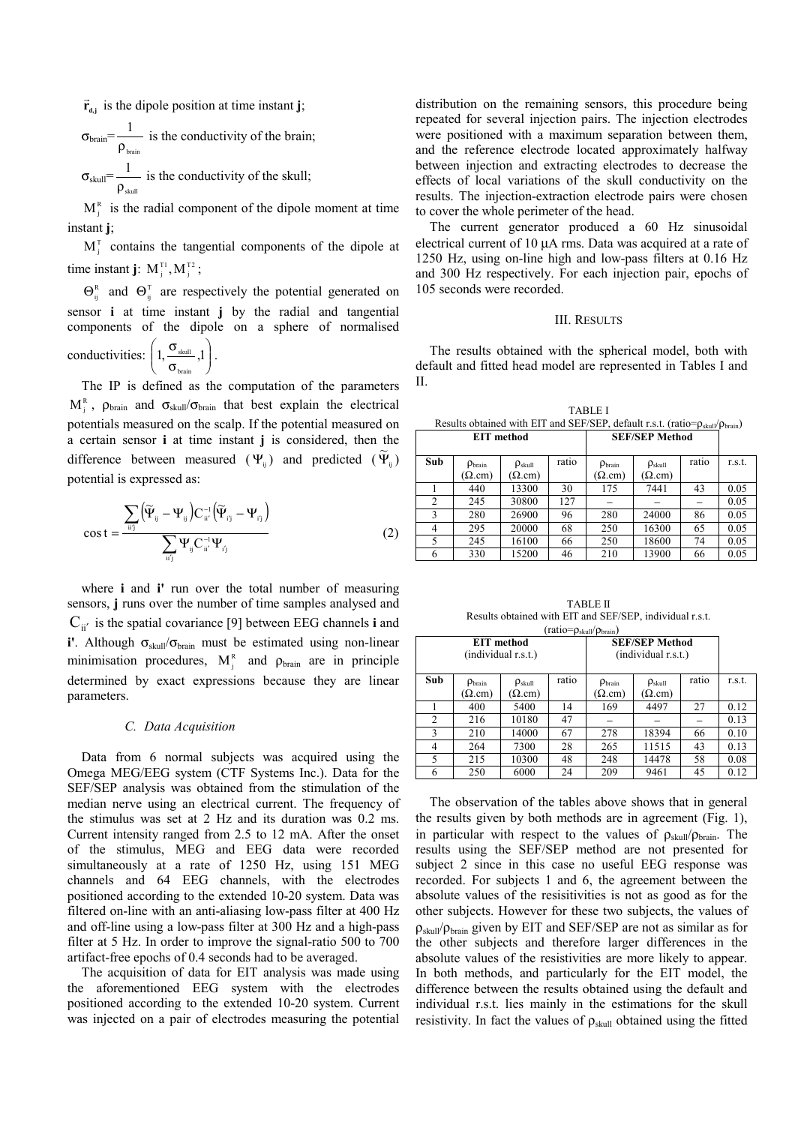$\vec{r}_{d,j}$  is the dipole position at time instant **j**;

$$
\sigma_{\text{brain}} = \frac{1}{\rho_{\text{brain}}}
$$
 is the conductivity of the brain;  

$$
\sigma_{\text{skull}} = \frac{1}{\rho_{\text{skull}}}
$$
 is the conductivity of the skull;

 $M<sub>i</sub><sup>R</sup>$  is the radial component of the dipole moment at time instant **j**;  $M_i^T$  contains the tangential components of the dipole at

time instant **j**:  $M_i^{T_1}, M_i^{T_2}$ ;

 $\Theta_{ii}^{R}$  and  $\Theta_{ii}^{T}$  are respectively the potential generated on sensor **i** at time instant **j** by the radial and tangential components of the dipole on a sphere of normalised

conductivities:  $\left| 1, \frac{S_{\text{skull}}}{S} , 1 \right|$ -  $\backslash$  $\overline{\phantom{a}}$ l ſ σ  $1, \frac{\sigma_{\text{skull}}}{\sigma_{\text{skull}}}, 1$ brain  $\frac{\text{skull}}{\text{all}}$ , 1.

The IP is defined as the computation of the parameters  $M_i^R$ ,  $\rho_{brain}$  and  $\sigma_{skill}/\sigma_{brain}$  that best explain the electrical potentials measured on the scalp. If the potential measured on a certain sensor **i** at time instant **j** is considered, then the difference between measured  $(\Psi_{ij})$  and predicted  $(\widetilde{\Psi}_{ij})$ potential is expressed as:

$$
\cos t = \frac{\sum_{ii'j} (\widetilde{\Psi}_{ij} - \Psi_{ij}) C_{ii'}^{-1} (\widetilde{\Psi}_{ij} - \Psi_{ij})}{\sum_{ii'j} \Psi_{ij} C_{ii'}^{-1} \Psi_{ij}}
$$
(2)

where **i** and **i'** run over the total number of measuring sensors, **j** runs over the number of time samples analysed and  $C_{ii'}$  is the spatial covariance [9] between EEG channels **i** and **i'**. Although σ<sub>skull</sub>/σ<sub>brain</sub> must be estimated using non-linear minimisation procedures,  $M_i^R$  and  $\rho_{brain}$  are in principle determined by exact expressions because they are linear parameters.

# *C. Data Acquisition*

Data from 6 normal subjects was acquired using the Omega MEG/EEG system (CTF Systems Inc.). Data for the SEF/SEP analysis was obtained from the stimulation of the median nerve using an electrical current. The frequency of the stimulus was set at 2 Hz and its duration was 0.2 ms. Current intensity ranged from 2.5 to 12 mA. After the onset of the stimulus, MEG and EEG data were recorded simultaneously at a rate of 1250 Hz, using 151 MEG channels and 64 EEG channels, with the electrodes positioned according to the extended 10-20 system. Data was filtered on-line with an anti-aliasing low-pass filter at 400 Hz and off-line using a low-pass filter at 300 Hz and a high-pass filter at 5 Hz. In order to improve the signal-ratio 500 to 700 artifact-free epochs of 0.4 seconds had to be averaged.

The acquisition of data for EIT analysis was made using the aforementioned EEG system with the electrodes positioned according to the extended 10-20 system. Current was injected on a pair of electrodes measuring the potential distribution on the remaining sensors, this procedure being repeated for several injection pairs. The injection electrodes were positioned with a maximum separation between them, and the reference electrode located approximately halfway between injection and extracting electrodes to decrease the effects of local variations of the skull conductivity on the results. The injection-extraction electrode pairs were chosen to cover the whole perimeter of the head.

The current generator produced a 60 Hz sinusoidal electrical current of 10 µA rms. Data was acquired at a rate of 1250 Hz, using on-line high and low-pass filters at 0.16 Hz and 300 Hz respectively. For each injection pair, epochs of 105 seconds were recorded.

# III. RESULTS

The results obtained with the spherical model, both with default and fitted head model are represented in Tables I and II.

|                                                                                                           | TARI F. I             |  |  |  |  |
|-----------------------------------------------------------------------------------------------------------|-----------------------|--|--|--|--|
| Results obtained with EIT and SEF/SEP, default r.s.t. (ratio= $\rho_{\text{skull}}/\rho_{\text{brain}}$ ) |                       |  |  |  |  |
| EIT method                                                                                                | <b>SEF/SEP Method</b> |  |  |  |  |

 $\Gamma$ 

| Sub | $\rho_{\text{brain}}$ | $\rho_{\text{skull}}$ | ratio | $\rho_{\text{brain}}$ | $\rho_{\text{skull}}$ | ratio | r.s.t. |
|-----|-----------------------|-----------------------|-------|-----------------------|-----------------------|-------|--------|
|     | $(\Omega$ .cm)        | $(\Omega$ .cm)        |       | $(\Omega$ .cm)        | $(\Omega$ cm)         |       |        |
|     | 440                   | 13300                 | 30    | 175                   | 7441                  | 43    | 0.05   |
| 2   | 245                   | 30800                 | 127   |                       |                       |       | 0.05   |
|     | 280                   | 26900                 | 96    | 280                   | 24000                 | 86    | 0.05   |
| 4   | 295                   | 20000                 | 68    | 250                   | 16300                 | 65    | 0.05   |
|     | 245                   | 16100                 | 66    | 250                   | 18600                 | 74    | 0.05   |
| 6   | 330                   | 15200                 | 46    | 210                   | 13900                 | 66    | 0.05   |

TABLE II Results obtained with EIT and SEF/SEP, individual r.s.t.  $(ratio=ρ. \nu/\rho_0)$ 

| uaw<br><b>EIT</b> method<br>(individual r.s.t.) |                                        |                                         | $P$ skull $\vee$ brain $\vee$<br><b>SEF/SEP Method</b><br>(individual r.s.t.) |                                       |                                        |       |        |
|-------------------------------------------------|----------------------------------------|-----------------------------------------|-------------------------------------------------------------------------------|---------------------------------------|----------------------------------------|-------|--------|
| Sub                                             | $\rho_{\text{brain}}$<br>$\Omega$ .cm) | $\rho_{\text{skull}}$<br>$(\Omega$ .cm) | ratio                                                                         | $\rho_{\text{brain}}$<br>$\Omega$ cm) | $\rho_{\text{skull}}$<br>$(\Omega$ cm) | ratio | r.s.t. |
|                                                 | 400                                    | 5400                                    | 14                                                                            | 169                                   | 4497                                   | 27    | 0.12   |
| $\overline{2}$                                  | 216                                    | 10180                                   | 47                                                                            |                                       |                                        |       | 0.13   |
| 3                                               | 210                                    | 14000                                   | 67                                                                            | 278                                   | 18394                                  | 66    | 0.10   |
| 4                                               | 264                                    | 7300                                    | 28                                                                            | 265                                   | 11515                                  | 43    | 0.13   |
| 5                                               | 215                                    | 10300                                   | 48                                                                            | 248                                   | 14478                                  | 58    | 0.08   |
| 6                                               | 250                                    | 6000                                    | 24                                                                            | 209                                   | 9461                                   | 45    | 0.12   |

The observation of the tables above shows that in general the results given by both methods are in agreement (Fig. 1), in particular with respect to the values of  $\rho_{\text{skull}}/ \rho_{\text{brain}}$ . The results using the SEF/SEP method are not presented for subject 2 since in this case no useful EEG response was recorded. For subjects 1 and 6, the agreement between the absolute values of the resisitivities is not as good as for the other subjects. However for these two subjects, the values of  $\rho_{\text{skull}}/\rho_{\text{brain}}$  given by EIT and SEF/SEP are not as similar as for the other subjects and therefore larger differences in the absolute values of the resistivities are more likely to appear. In both methods, and particularly for the EIT model, the difference between the results obtained using the default and individual r.s.t. lies mainly in the estimations for the skull resistivity. In fact the values of  $\rho_{\text{skull}}$  obtained using the fitted